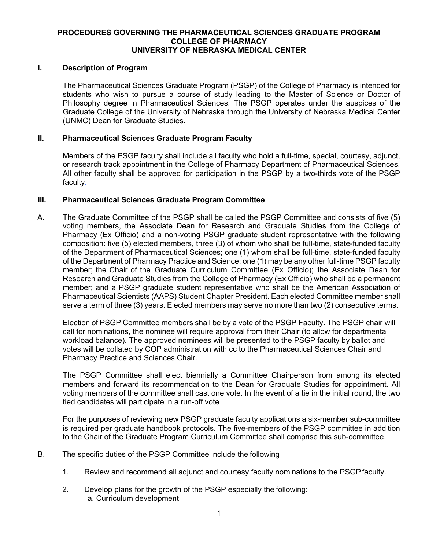## **PROCEDURES GOVERNING THE PHARMACEUTICAL SCIENCES GRADUATE PROGRAM COLLEGE OF PHARMACY UNIVERSITY OF NEBRASKA MEDICAL CENTER**

## **I. Description of Program**

The Pharmaceutical Sciences Graduate Program (PSGP) of the College of Pharmacy is intended for students who wish to pursue a course of study leading to the Master of Science or Doctor of Philosophy degree in Pharmaceutical Sciences. The PSGP operates under the auspices of the Graduate College of the University of Nebraska through the University of Nebraska Medical Center (UNMC) Dean for Graduate Studies.

#### **II. Pharmaceutical Sciences Graduate Program Faculty**

Members of the PSGP faculty shall include all faculty who hold a full-time, special, courtesy, adjunct, or research track appointment in the College of Pharmacy Department of Pharmaceutical Sciences. All other faculty shall be approved for participation in the PSGP by a two-thirds vote of the PSGP faculty.

#### **III. Pharmaceutical Sciences Graduate Program Committee**

A. The Graduate Committee of the PSGP shall be called the PSGP Committee and consists of five (5) voting members, the Associate Dean for Research and Graduate Studies from the College of Pharmacy (Ex Officio) and a non-voting PSGP graduate student representative with the following composition: five (5) elected members, three (3) of whom who shall be full-time, state-funded faculty of the Department of Pharmaceutical Sciences; one (1) whom shall be full-time, state-funded faculty of the Department of Pharmacy Practice and Science; one (1) may be any other full-time PSGP faculty member; the Chair of the Graduate Curriculum Committee (Ex Officio); the Associate Dean for Research and Graduate Studies from the College of Pharmacy (Ex Officio) who shall be a permanent member; and a PSGP graduate student representative who shall be the American Association of Pharmaceutical Scientists (AAPS) Student Chapter President. Each elected Committee member shall serve a term of three (3) years. Elected members may serve no more than two (2) consecutive terms.

Election of PSGP Committee members shall be by a vote of the PSGP Faculty. The PSGP chair will call for nominations, the nominee will require approval from their Chair (to allow for departmental workload balance). The approved nominees will be presented to the PSGP faculty by ballot and votes will be collated by COP administration with cc to the Pharmaceutical Sciences Chair and Pharmacy Practice and Sciences Chair.

The PSGP Committee shall elect biennially a Committee Chairperson from among its elected members and forward its recommendation to the Dean for Graduate Studies for appointment. All voting members of the committee shall cast one vote. In the event of a tie in the initial round, the two tied candidates will participate in a run-off vote

For the purposes of reviewing new PSGP graduate faculty applications a six-member sub-committee is required per graduate handbook protocols. The five-members of the PSGP committee in addition to the Chair of the Graduate Program Curriculum Committee shall comprise this sub-committee.

- B. The specific duties of the PSGP Committee include the following
	- 1. Review and recommend all adjunct and courtesy faculty nominations to the PSGPfaculty.
	- 2. Develop plans for the growth of the PSGP especially the following: a. Curriculum development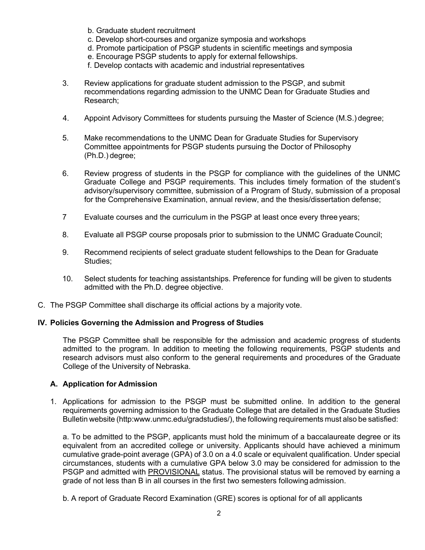- b. Graduate student recruitment
- c. Develop short-courses and organize symposia and workshops
- d. Promote participation of PSGP students in scientific meetings and symposia
- e. Encourage PSGP students to apply for external fellowships.
- f. Develop contacts with academic and industrial representatives
- 3. Review applications for graduate student admission to the PSGP, and submit recommendations regarding admission to the UNMC Dean for Graduate Studies and Research;
- 4. Appoint Advisory Committees for students pursuing the Master of Science (M.S.) degree;
- 5. Make recommendations to the UNMC Dean for Graduate Studies for Supervisory Committee appointments for PSGP students pursuing the Doctor of Philosophy (Ph.D.) degree;
- 6. Review progress of students in the PSGP for compliance with the guidelines of the UNMC Graduate College and PSGP requirements. This includes timely formation of the student's advisory/supervisory committee, submission of a Program of Study, submission of a proposal for the Comprehensive Examination, annual review, and the thesis/dissertation defense;
- 7 Evaluate courses and the curriculum in the PSGP at least once every three years;
- 8. Evaluate all PSGP course proposals prior to submission to the UNMC Graduate Council;
- 9. Recommend recipients of select graduate student fellowships to the Dean for Graduate Studies;
- 10. Select students for teaching assistantships. Preference for funding will be given to students admitted with the Ph.D. degree objective.
- C. The PSGP Committee shall discharge its official actions by a majority vote.

#### **IV. Policies Governing the Admission and Progress of Studies**

The PSGP Committee shall be responsible for the admission and academic progress of students admitted to the program. In addition to meeting the following requirements, PSGP students and research advisors must also conform to the general requirements and procedures of the Graduate College of the University of Nebraska.

#### **A. Application for Admission**

1. Applications for admission to the PSGP must be submitted online. In addition to the general requirements governing admission to the Graduate College that are detailed in the Graduate Studies Bulletin website (http:www.unmc.edu/gradstudies/), the following requirements must also be satisfied:

a. To be admitted to the PSGP, applicants must hold the minimum of a baccalaureate degree or its equivalent from an accredited college or university. Applicants should have achieved a minimum cumulative grade-point average (GPA) of 3.0 on a 4.0 scale or equivalent qualification. Under special circumstances, students with a cumulative GPA below 3.0 may be considered for admission to the PSGP and admitted with PROVISIONAL status. The provisional status will be removed by earning a grade of not less than B in all courses in the first two semesters following admission.

b. A report of Graduate Record Examination (GRE) scores is optional for of all applicants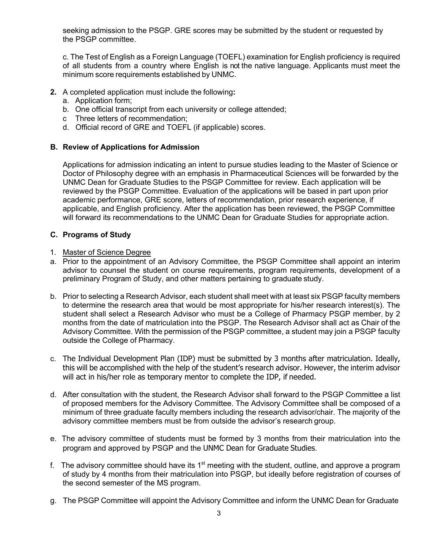seeking admission to the PSGP. GRE scores may be submitted by the student or requested by the PSGP committee.

c. The Test of English as a Foreign Language (TOEFL) examination for English proficiency is required of all students from a country where English is not the native language. Applicants must meet the minimum score requirements established by UNMC.

- **2.** A completed application must include the following**:**
	- a. Application form;
	- b. One official transcript from each university or college attended;
	- c Three letters of recommendation;
	- d. Official record of GRE and TOEFL (if applicable) scores.

## **B. Review of Applications for Admission**

Applications for admission indicating an intent to pursue studies leading to the Master of Science or Doctor of Philosophy degree with an emphasis in Pharmaceutical Sciences will be forwarded by the UNMC Dean for Graduate Studies to the PSGP Committee for review. Each application will be reviewed by the PSGP Committee. Evaluation of the applications will be based in part upon prior academic performance, GRE score, letters of recommendation, prior research experience, if applicable, and English proficiency. After the application has been reviewed, the PSGP Committee will forward its recommendations to the UNMC Dean for Graduate Studies for appropriate action.

## **C. Programs of Study**

#### 1. Master of Science Degree

- a. Prior to the appointment of an Advisory Committee, the PSGP Committee shall appoint an interim advisor to counsel the student on course requirements, program requirements, development of a preliminary Program of Study, and other matters pertaining to graduate study.
- b. Prior to selecting a Research Advisor, each student shall meet with at least six PSGP faculty members to determine the research area that would be most appropriate for his/her research interest(s). The student shall select a Research Advisor who must be a College of Pharmacy PSGP member, by 2 months from the date of matriculation into the PSGP. The Research Advisor shall act as Chair of the Advisory Committee. With the permission of the PSGP committee, a student may join a PSGP faculty outside the College of Pharmacy.
- c. The Individual Development Plan (IDP) must be submitted by 3 months after matriculation. Ideally, this will be accomplished with the help of the student's research advisor. However, the interim advisor will act in his/her role as temporary mentor to complete the IDP, if needed.
- d. After consultation with the student, the Research Advisor shall forward to the PSGP Committee a list of proposed members for the Advisory Committee. The Advisory Committee shall be composed of a minimum of three graduate faculty members including the research advisor/chair. The majority of the advisory committee members must be from outside the advisor's research group.
- e. The advisory committee of students must be formed by 3 months from their matriculation into the program and approved by PSGP and the UNMC Dean for Graduate Studies.
- f. The advisory committee should have its  $1<sup>st</sup>$  meeting with the student, outline, and approve a program of study by 4 months from their matriculation into PSGP, but ideally before registration of courses of the second semester of the MS program.
- g. The PSGP Committee will appoint the Advisory Committee and inform the UNMC Dean for Graduate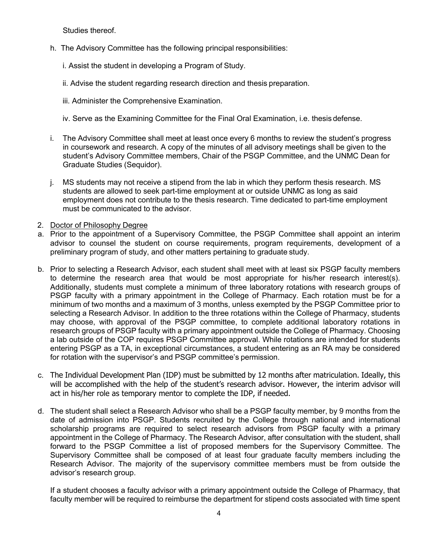Studies thereof.

- h. The Advisory Committee has the following principal responsibilities:
	- i. Assist the student in developing a Program of Study.
	- ii. Advise the student regarding research direction and thesis preparation.
	- iii. Administer the Comprehensive Examination.
	- iv. Serve as the Examining Committee for the Final Oral Examination, i.e. thesis defense.
- i. The Advisory Committee shall meet at least once every 6 months to review the student's progress in coursework and research. A copy of the minutes of all advisory meetings shall be given to the student's Advisory Committee members, Chair of the PSGP Committee, and the UNMC Dean for Graduate Studies (Sequidor).
- j. MS students may not receive a stipend from the lab in which they perform thesis research. MS students are allowed to seek part-time employment at or outside UNMC as long as said employment does not contribute to the thesis research. Time dedicated to part-time employment must be communicated to the advisor.
- 2. Doctor of Philosophy Degree
- a. Prior to the appointment of a Supervisory Committee, the PSGP Committee shall appoint an interim advisor to counsel the student on course requirements, program requirements, development of a preliminary program of study, and other matters pertaining to graduate study.
- b. Prior to selecting a Research Advisor, each student shall meet with at least six PSGP faculty members to determine the research area that would be most appropriate for his/her research interest(s). Additionally, students must complete a minimum of three laboratory rotations with research groups of PSGP faculty with a primary appointment in the College of Pharmacy. Each rotation must be for a minimum of two months and a maximum of 3 months, unless exempted by the PSGP Committee prior to selecting a Research Advisor. In addition to the three rotations within the College of Pharmacy, students may choose, with approval of the PSGP committee, to complete additional laboratory rotations in research groups of PSGP faculty with a primary appointment outside the College of Pharmacy. Choosing a lab outside of the COP requires PSGP Committee approval. While rotations are intended for students entering PSGP as a TA, in exceptional circumstances, a student entering as an RA may be considered for rotation with the supervisor's and PSGP committee's permission.
- c. The Individual Development Plan (IDP) must be submitted by 12 months after matriculation. Ideally, this will be accomplished with the help of the student's research advisor. However, the interim advisor will act in his/her role as temporary mentor to complete the IDP, if needed.
- d. The student shall select a Research Advisor who shall be a PSGP faculty member, by 9 months from the date of admission into PSGP. Students recruited by the College through national and international scholarship programs are required to select research advisors from PSGP faculty with a primary appointment in the College of Pharmacy. The Research Advisor, after consultation with the student, shall forward to the PSGP Committee a list of proposed members for the Supervisory Committee. The Supervisory Committee shall be composed of at least four graduate faculty members including the Research Advisor. The majority of the supervisory committee members must be from outside the advisor's research group.

If a student chooses a faculty advisor with a primary appointment outside the College of Pharmacy, that faculty member will be required to reimburse the department for stipend costs associated with time spent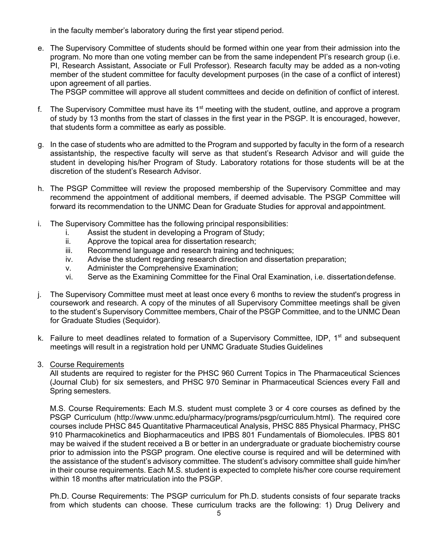in the faculty member's laboratory during the first year stipend period.

e. The Supervisory Committee of students should be formed within one year from their admission into the program. No more than one voting member can be from the same independent PI's research group (i.e. PI, Research Assistant, Associate or Full Professor). Research faculty may be added as a non-voting member of the student committee for faculty development purposes (in the case of a conflict of interest) upon agreement of all parties.

The PSGP committee will approve all student committees and decide on definition of conflict of interest.

- f. The Supervisory Committee must have its  $1<sup>st</sup>$  meeting with the student, outline, and approve a program of study by 13 months from the start of classes in the first year in the PSGP. It is encouraged, however, that students form a committee as early as possible.
- g. In the case of students who are admitted to the Program and supported by faculty in the form of a research assistantship, the respective faculty will serve as that student's Research Advisor and will guide the student in developing his/her Program of Study. Laboratory rotations for those students will be at the discretion of the student's Research Advisor.
- h. The PSGP Committee will review the proposed membership of the Supervisory Committee and may recommend the appointment of additional members, if deemed advisable. The PSGP Committee will forward its recommendation to the UNMC Dean for Graduate Studies for approval andappointment.
- i. The Supervisory Committee has the following principal responsibilities:
	- i. Assist the student in developing a Program of Study;
	- ii. Approve the topical area for dissertation research;
	- iii. Recommend language and research training and techniques;
	- iv. Advise the student regarding research direction and dissertation preparation;
	- v. Administer the Comprehensive Examination;
	- vi. Serve as the Examining Committee for the Final Oral Examination, i.e. dissertationdefense.
- j. The Supervisory Committee must meet at least once every 6 months to review the student's progress in coursework and research. A copy of the minutes of all Supervisory Committee meetings shall be given to the student's Supervisory Committee members, Chair of the PSGP Committee, and to the UNMC Dean for Graduate Studies (Sequidor).
- k. Failure to meet deadlines related to formation of a Supervisory Committee, IDP, 1<sup>st</sup> and subsequent meetings will result in a registration hold per UNMC Graduate Studies Guidelines
- 3. Course Requirements

All students are required to register for the PHSC 960 Current Topics in The Pharmaceutical Sciences (Journal Club) for six semesters, and PHSC 970 Seminar in Pharmaceutical Sciences every Fall and Spring semesters.

M.S. Course Requirements: Each M.S. student must complete 3 or 4 core courses as defined by the PSGP Curriculum (http://www.unmc.edu/pharmacy/programs/psgp/curriculum.html). The required core courses include PHSC 845 Quantitative Pharmaceutical Analysis, PHSC 885 Physical Pharmacy, PHSC 910 Pharmacokinetics and Biopharmaceutics and IPBS 801 Fundamentals of Biomolecules. IPBS 801 may be waived if the student received a B or better in an undergraduate or graduate biochemistry course prior to admission into the PSGP program. One elective course is required and will be determined with the assistance of the student's advisory committee. The student's advisory committee shall guide him/her in their course requirements. Each M.S. student is expected to complete his/her core course requirement within 18 months after matriculation into the PSGP.

Ph.D. Course Requirements: The PSGP curriculum for Ph.D. students consists of four separate tracks from which students can choose. These curriculum tracks are the following: 1) Drug Delivery and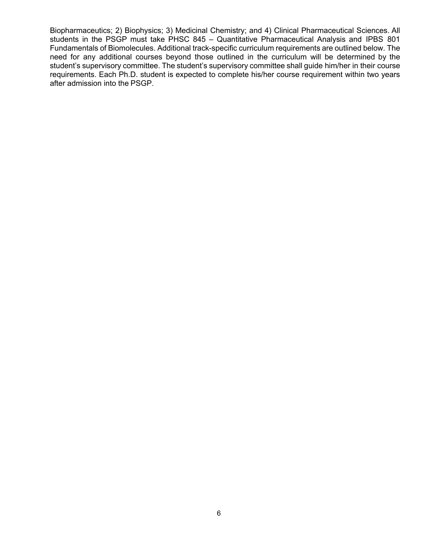Biopharmaceutics; 2) Biophysics; 3) Medicinal Chemistry; and 4) Clinical Pharmaceutical Sciences. All students in the PSGP must take PHSC 845 – Quantitative Pharmaceutical Analysis and IPBS 801 Fundamentals of Biomolecules. Additional track-specific curriculum requirements are outlined below. The need for any additional courses beyond those outlined in the curriculum will be determined by the student's supervisory committee. The student's supervisory committee shall guide him/her in their course requirements. Each Ph.D. student is expected to complete his/her course requirement within two years after admission into the PSGP.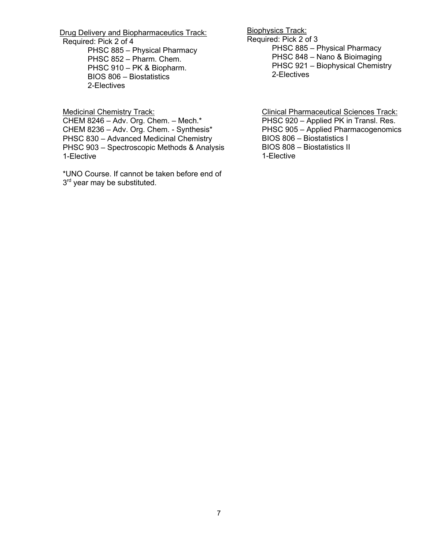Drug Delivery and Biopharmaceutics Track: Required: Pick 2 of 4

PHSC 885 – Physical Pharmacy PHSC 852 – Pharm. Chem. PHSC 910 – PK & Biopharm. BIOS 806 – Biostatistics 2-Electives

Medicinal Chemistry Track:

CHEM 8246 – Adv. Org. Chem. – Mech.\* CHEM 8236 – Adv. Org. Chem. - Synthesis\* PHSC 830 – Advanced Medicinal Chemistry PHSC 903 – Spectroscopic Methods & Analysis 1-Elective

\*UNO Course. If cannot be taken before end of 3<sup>rd</sup> year may be substituted.

Biophysics Track: Required: Pick 2 of 3 PHSC 885 – Physical Pharmacy PHSC 848 – Nano & Bioimaging PHSC 921 – Biophysical Chemistry 2-Electives

> Clinical Pharmaceutical Sciences Track: PHSC 920 – Applied PK in Transl. Res. PHSC 905 – Applied Pharmacogenomics BIOS 806 – Biostatistics I BIOS 808 – Biostatistics II 1-Elective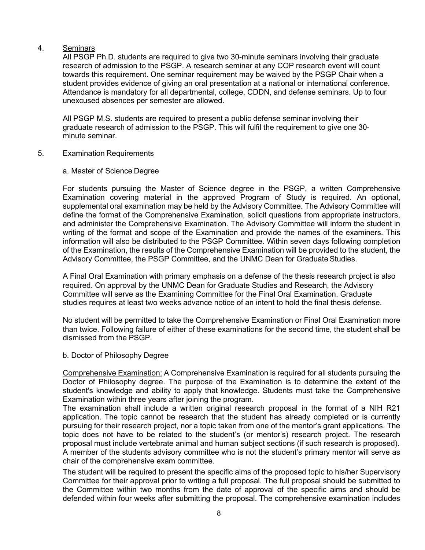## 4. Seminars

All PSGP Ph.D. students are required to give two 30-minute seminars involving their graduate research of admission to the PSGP. A research seminar at any COP research event will count towards this requirement. One seminar requirement may be waived by the PSGP Chair when a student provides evidence of giving an oral presentation at a national or international conference. Attendance is mandatory for all departmental, college, CDDN, and defense seminars. Up to four unexcused absences per semester are allowed.

All PSGP M.S. students are required to present a public defense seminar involving their graduate research of admission to the PSGP. This will fulfil the requirement to give one 30 minute seminar.

## 5. Examination Requirements

#### a. Master of Science Degree

For students pursuing the Master of Science degree in the PSGP, a written Comprehensive Examination covering material in the approved Program of Study is required. An optional, supplemental oral examination may be held by the Advisory Committee. The Advisory Committee will define the format of the Comprehensive Examination, solicit questions from appropriate instructors, and administer the Comprehensive Examination. The Advisory Committee will inform the student in writing of the format and scope of the Examination and provide the names of the examiners. This information will also be distributed to the PSGP Committee. Within seven days following completion of the Examination, the results of the Comprehensive Examination will be provided to the student, the Advisory Committee, the PSGP Committee, and the UNMC Dean for Graduate Studies.

A Final Oral Examination with primary emphasis on a defense of the thesis research project is also required. On approval by the UNMC Dean for Graduate Studies and Research, the Advisory Committee will serve as the Examining Committee for the Final Oral Examination. Graduate studies requires at least two weeks advance notice of an intent to hold the final thesis defense.

No student will be permitted to take the Comprehensive Examination or Final Oral Examination more than twice. Following failure of either of these examinations for the second time, the student shall be dismissed from the PSGP.

#### b. Doctor of Philosophy Degree

Comprehensive Examination: A Comprehensive Examination is required for all students pursuing the Doctor of Philosophy degree. The purpose of the Examination is to determine the extent of the student's knowledge and ability to apply that knowledge. Students must take the Comprehensive Examination within three years after joining the program.

The examination shall include a written original research proposal in the format of a NIH R21 application. The topic cannot be research that the student has already completed or is currently pursuing for their research project, nor a topic taken from one of the mentor's grant applications. The topic does not have to be related to the student's (or mentor's) research project. The research proposal must include vertebrate animal and human subject sections (if such research is proposed). A member of the students advisory committee who is not the student's primary mentor will serve as chair of the comprehensive exam committee.

The student will be required to present the specific aims of the proposed topic to his/her Supervisory Committee for their approval prior to writing a full proposal. The full proposal should be submitted to the Committee within two months from the date of approval of the specific aims and should be defended within four weeks after submitting the proposal. The comprehensive examination includes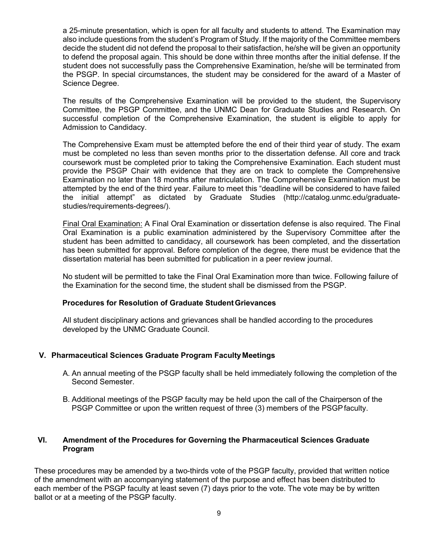a 25-minute presentation, which is open for all faculty and students to attend. The Examination may also include questions from the student's Program of Study. If the majority of the Committee members decide the student did not defend the proposal to their satisfaction, he/she will be given an opportunity to defend the proposal again. This should be done within three months after the initial defense. If the student does not successfully pass the Comprehensive Examination, he/she will be terminated from the PSGP. In special circumstances, the student may be considered for the award of a Master of Science Degree.

The results of the Comprehensive Examination will be provided to the student, the Supervisory Committee, the PSGP Committee, and the UNMC Dean for Graduate Studies and Research. On successful completion of the Comprehensive Examination, the student is eligible to apply for Admission to Candidacy.

The Comprehensive Exam must be attempted before the end of their third year of study. The exam must be completed no less than seven months prior to the dissertation defense. All core and track coursework must be completed prior to taking the Comprehensive Examination. Each student must provide the PSGP Chair with evidence that they are on track to complete the Comprehensive Examination no later than 18 months after matriculation. The Comprehensive Examination must be attempted by the end of the third year. Failure to meet this "deadline will be considered to have failed the initial attempt" as dictated by Graduate Studies (http://catalog.unmc.edu/graduatestudies/requirements-degrees/).

Final Oral Examination: A Final Oral Examination or dissertation defense is also required. The Final Oral Examination is a public examination administered by the Supervisory Committee after the student has been admitted to candidacy, all coursework has been completed, and the dissertation has been submitted for approval. Before completion of the degree, there must be evidence that the dissertation material has been submitted for publication in a peer review journal.

No student will be permitted to take the Final Oral Examination more than twice. Following failure of the Examination for the second time, the student shall be dismissed from the PSGP.

#### **Procedures for Resolution of Graduate StudentGrievances**

All student disciplinary actions and grievances shall be handled according to the procedures developed by the UNMC Graduate Council.

# **V. Pharmaceutical Sciences Graduate Program FacultyMeetings**

- A. An annual meeting of the PSGP faculty shall be held immediately following the completion of the Second Semester.
- B. Additional meetings of the PSGP faculty may be held upon the call of the Chairperson of the PSGP Committee or upon the written request of three (3) members of the PSGPfaculty.

# **VI. Amendment of the Procedures for Governing the Pharmaceutical Sciences Graduate Program**

These procedures may be amended by a two-thirds vote of the PSGP faculty, provided that written notice of the amendment with an accompanying statement of the purpose and effect has been distributed to each member of the PSGP faculty at least seven (7) days prior to the vote. The vote may be by written ballot or at a meeting of the PSGP faculty.